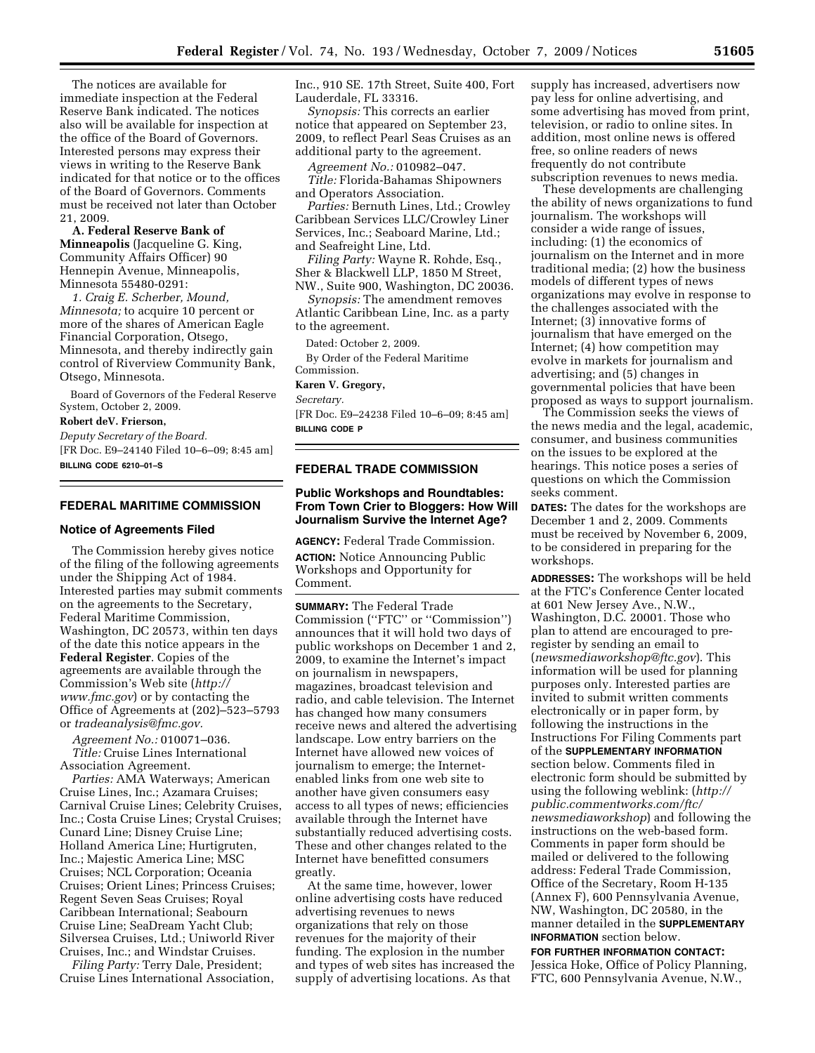The notices are available for immediate inspection at the Federal Reserve Bank indicated. The notices also will be available for inspection at the office of the Board of Governors. Interested persons may express their views in writing to the Reserve Bank indicated for that notice or to the offices of the Board of Governors. Comments must be received not later than October 21, 2009.

**A. Federal Reserve Bank of Minneapolis** (Jacqueline G. King, Community Affairs Officer) 90 Hennepin Avenue, Minneapolis, Minnesota 55480-0291:

*1. Craig E. Scherber, Mound, Minnesota;* to acquire 10 percent or more of the shares of American Eagle Financial Corporation, Otsego, Minnesota, and thereby indirectly gain control of Riverview Community Bank, Otsego, Minnesota.

Board of Governors of the Federal Reserve System, October 2, 2009.

#### **Robert deV. Frierson,**

*Deputy Secretary of the Board.*  [FR Doc. E9–24140 Filed 10–6–09; 8:45 am] **BILLING CODE 6210–01–S** 

## **FEDERAL MARITIME COMMISSION**

### **Notice of Agreements Filed**

The Commission hereby gives notice of the filing of the following agreements under the Shipping Act of 1984. Interested parties may submit comments on the agreements to the Secretary, Federal Maritime Commission, Washington, DC 20573, within ten days of the date this notice appears in the **Federal Register**. Copies of the agreements are available through the Commission's Web site (*http:// www.fmc.gov*) or by contacting the Office of Agreements at (202)–523–5793 or *tradeanalysis@fmc.gov.* 

*Agreement No.:* 010071–036. *Title:* Cruise Lines International Association Agreement.

*Parties:* AMA Waterways; American Cruise Lines, Inc.; Azamara Cruises; Carnival Cruise Lines; Celebrity Cruises, Inc.; Costa Cruise Lines; Crystal Cruises; Cunard Line; Disney Cruise Line; Holland America Line; Hurtigruten, Inc.; Majestic America Line; MSC Cruises; NCL Corporation; Oceania Cruises; Orient Lines; Princess Cruises; Regent Seven Seas Cruises; Royal Caribbean International; Seabourn Cruise Line; SeaDream Yacht Club; Silversea Cruises, Ltd.; Uniworld River Cruises, Inc.; and Windstar Cruises.

*Filing Party:* Terry Dale, President; Cruise Lines International Association, Inc., 910 SE. 17th Street, Suite 400, Fort Lauderdale, FL 33316.

*Synopsis:* This corrects an earlier notice that appeared on September 23, 2009, to reflect Pearl Seas Cruises as an additional party to the agreement.

*Agreement No.:* 010982–047.

*Title:* Florida-Bahamas Shipowners and Operators Association.

*Parties:* Bernuth Lines, Ltd.; Crowley Caribbean Services LLC/Crowley Liner Services, Inc.; Seaboard Marine, Ltd.; and Seafreight Line, Ltd.

*Filing Party:* Wayne R. Rohde, Esq., Sher & Blackwell LLP, 1850 M Street, NW., Suite 900, Washington, DC 20036.

*Synopsis:* The amendment removes Atlantic Caribbean Line, Inc. as a party to the agreement.

Dated: October 2, 2009.

By Order of the Federal Maritime Commission.

# **Karen V. Gregory,**

*Secretary.* 

[FR Doc. E9–24238 Filed 10–6–09; 8:45 am] **BILLING CODE P** 

#### **FEDERAL TRADE COMMISSION**

### **Public Workshops and Roundtables: From Town Crier to Bloggers: How Will Journalism Survive the Internet Age?**

**AGENCY:** Federal Trade Commission. **ACTION:** Notice Announcing Public Workshops and Opportunity for Comment.

**SUMMARY:** The Federal Trade Commission (''FTC'' or ''Commission'') announces that it will hold two days of public workshops on December 1 and 2, 2009, to examine the Internet's impact on journalism in newspapers, magazines, broadcast television and radio, and cable television. The Internet has changed how many consumers receive news and altered the advertising landscape. Low entry barriers on the Internet have allowed new voices of journalism to emerge; the Internetenabled links from one web site to another have given consumers easy access to all types of news; efficiencies available through the Internet have substantially reduced advertising costs. These and other changes related to the Internet have benefitted consumers greatly.

At the same time, however, lower online advertising costs have reduced advertising revenues to news organizations that rely on those revenues for the majority of their funding. The explosion in the number and types of web sites has increased the supply of advertising locations. As that

supply has increased, advertisers now pay less for online advertising, and some advertising has moved from print, television, or radio to online sites. In addition, most online news is offered free, so online readers of news frequently do not contribute subscription revenues to news media.

These developments are challenging the ability of news organizations to fund journalism. The workshops will consider a wide range of issues, including: (1) the economics of journalism on the Internet and in more traditional media; (2) how the business models of different types of news organizations may evolve in response to the challenges associated with the Internet; (3) innovative forms of journalism that have emerged on the Internet; (4) how competition may evolve in markets for journalism and advertising; and (5) changes in governmental policies that have been proposed as ways to support journalism.

The Commission seeks the views of the news media and the legal, academic, consumer, and business communities on the issues to be explored at the hearings. This notice poses a series of questions on which the Commission seeks comment.

**DATES:** The dates for the workshops are December 1 and 2, 2009. Comments must be received by November 6, 2009, to be considered in preparing for the workshops.

**ADDRESSES:** The workshops will be held at the FTC's Conference Center located at 601 New Jersey Ave., N.W., Washington, D.C. 20001. Those who plan to attend are encouraged to preregister by sending an email to (*newsmediaworkshop@ftc.gov*). This information will be used for planning purposes only. Interested parties are invited to submit written comments electronically or in paper form, by following the instructions in the Instructions For Filing Comments part of the **SUPPLEMENTARY INFORMATION** section below. Comments filed in electronic form should be submitted by using the following weblink: (*http:// public.commentworks.com/ftc/ newsmediaworkshop*) and following the instructions on the web-based form. Comments in paper form should be mailed or delivered to the following address: Federal Trade Commission, Office of the Secretary, Room H-135 (Annex F), 600 Pennsylvania Avenue, NW, Washington, DC 20580, in the manner detailed in the **SUPPLEMENTARY INFORMATION** section below.

**FOR FURTHER INFORMATION CONTACT:**  Jessica Hoke, Office of Policy Planning, FTC, 600 Pennsylvania Avenue, N.W.,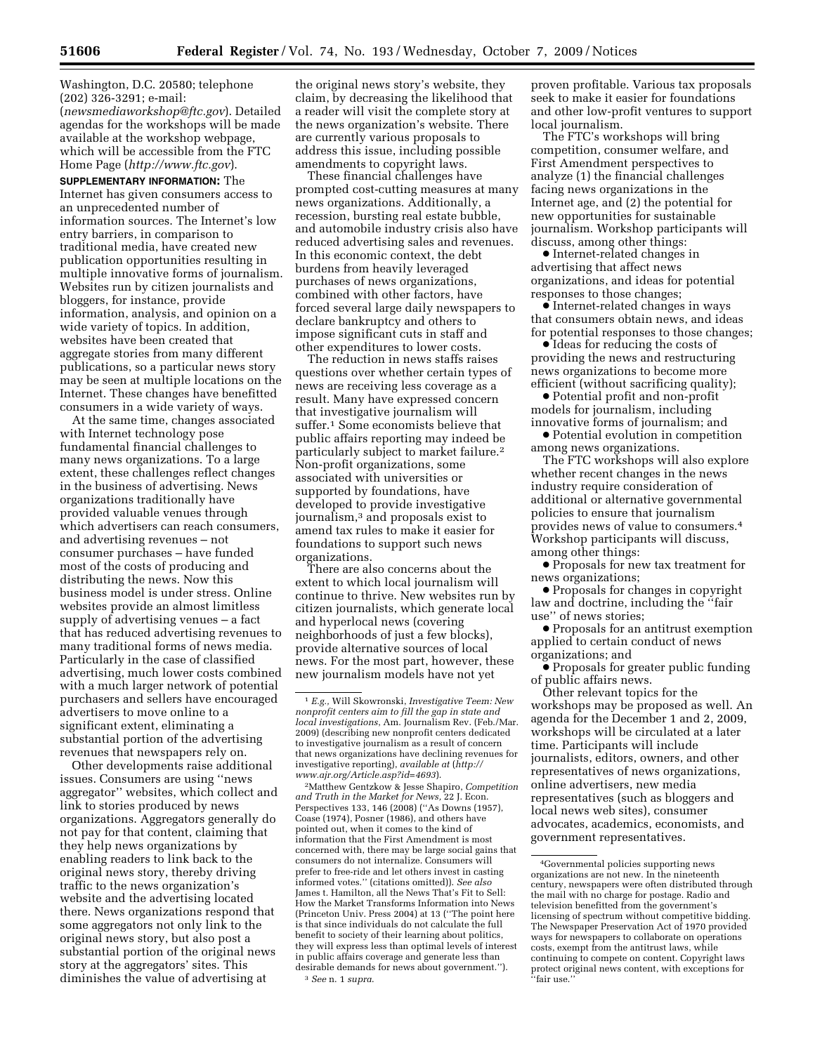Washington, D.C. 20580; telephone (202) 326-3291; e-mail: (*newsmediaworkshop@ftc.gov*). Detailed agendas for the workshops will be made available at the workshop webpage, which will be accessible from the FTC Home Page (*http://www.ftc.gov*).

**SUPPLEMENTARY INFORMATION:** The Internet has given consumers access to an unprecedented number of information sources. The Internet's low entry barriers, in comparison to traditional media, have created new publication opportunities resulting in multiple innovative forms of journalism. Websites run by citizen journalists and bloggers, for instance, provide information, analysis, and opinion on a wide variety of topics. In addition, websites have been created that aggregate stories from many different publications, so a particular news story may be seen at multiple locations on the Internet. These changes have benefitted consumers in a wide variety of ways.

At the same time, changes associated with Internet technology pose fundamental financial challenges to many news organizations. To a large extent, these challenges reflect changes in the business of advertising. News organizations traditionally have provided valuable venues through which advertisers can reach consumers, and advertising revenues – not consumer purchases – have funded most of the costs of producing and distributing the news. Now this business model is under stress. Online websites provide an almost limitless supply of advertising venues – a fact that has reduced advertising revenues to many traditional forms of news media. Particularly in the case of classified advertising, much lower costs combined with a much larger network of potential purchasers and sellers have encouraged advertisers to move online to a significant extent, eliminating a substantial portion of the advertising revenues that newspapers rely on.

Other developments raise additional issues. Consumers are using ''news aggregator'' websites, which collect and link to stories produced by news organizations. Aggregators generally do not pay for that content, claiming that they help news organizations by enabling readers to link back to the original news story, thereby driving traffic to the news organization's website and the advertising located there. News organizations respond that some aggregators not only link to the original news story, but also post a substantial portion of the original news story at the aggregators' sites. This diminishes the value of advertising at

the original news story's website, they claim, by decreasing the likelihood that a reader will visit the complete story at the news organization's website. There are currently various proposals to address this issue, including possible amendments to copyright laws.

These financial challenges have prompted cost-cutting measures at many news organizations. Additionally, a recession, bursting real estate bubble, and automobile industry crisis also have reduced advertising sales and revenues. In this economic context, the debt burdens from heavily leveraged purchases of news organizations, combined with other factors, have forced several large daily newspapers to declare bankruptcy and others to impose significant cuts in staff and other expenditures to lower costs.

The reduction in news staffs raises questions over whether certain types of news are receiving less coverage as a result. Many have expressed concern that investigative journalism will suffer.1 Some economists believe that public affairs reporting may indeed be particularly subject to market failure.2 Non-profit organizations, some associated with universities or supported by foundations, have developed to provide investigative journalism,3 and proposals exist to amend tax rules to make it easier for foundations to support such news organizations.

There are also concerns about the extent to which local journalism will continue to thrive. New websites run by citizen journalists, which generate local and hyperlocal news (covering neighborhoods of just a few blocks), provide alternative sources of local news. For the most part, however, these new journalism models have not yet

2Matthew Gentzkow & Jesse Shapiro, *Competition and Truth in the Market for News,* 22 J. Econ. Perspectives 133, 146 (2008) (''As Downs (1957), Coase (1974), Posner (1986), and others have pointed out, when it comes to the kind of information that the First Amendment is most concerned with, there may be large social gains that consumers do not internalize. Consumers will prefer to free-ride and let others invest in casting informed votes.'' (citations omitted)). *See also*  James t. Hamilton, all the News That's Fit to Sell: How the Market Transforms Information into News (Princeton Univ. Press 2004) at 13 (''The point here is that since individuals do not calculate the full benefit to society of their learning about politics, they will express less than optimal levels of interest in public affairs coverage and generate less than desirable demands for news about government.''). 3 *See* n. 1 *supra*.

proven profitable. Various tax proposals seek to make it easier for foundations and other low-profit ventures to support local journalism.

The FTC's workshops will bring competition, consumer welfare, and First Amendment perspectives to analyze (1) the financial challenges facing news organizations in the Internet age, and (2) the potential for new opportunities for sustainable journalism. Workshop participants will discuss, among other things:

∑ Internet-related changes in advertising that affect news organizations, and ideas for potential responses to those changes;

∑ Internet-related changes in ways that consumers obtain news, and ideas for potential responses to those changes;

∑ Ideas for reducing the costs of providing the news and restructuring news organizations to become more efficient (without sacrificing quality);

● Potential profit and non-profit models for journalism, including innovative forms of journalism; and

∑ Potential evolution in competition among news organizations.

The FTC workshops will also explore whether recent changes in the news industry require consideration of additional or alternative governmental policies to ensure that journalism provides news of value to consumers.4 Workshop participants will discuss, among other things:

● Proposals for new tax treatment for news organizations;

∑ Proposals for changes in copyright law and doctrine, including the ''fair use'' of news stories;

∑ Proposals for an antitrust exemption applied to certain conduct of news organizations; and

∑ Proposals for greater public funding of public affairs news.

Other relevant topics for the workshops may be proposed as well. An agenda for the December 1 and 2, 2009, workshops will be circulated at a later time. Participants will include journalists, editors, owners, and other representatives of news organizations, online advertisers, new media representatives (such as bloggers and local news web sites), consumer advocates, academics, economists, and government representatives.

<sup>1</sup> *E.g.,* Will Skowronski, *Investigative Teem: New nonprofit centers aim to fill the gap in state and local investigations*, Am. Journalism Rev. (Feb./Mar. 2009) (describing new nonprofit centers dedicated to investigative journalism as a result of concern that news organizations have declining revenues for investigative reporting), *available at* (*http:// www.ajr.org/Article.asp?id=4693*).

<sup>4</sup>Governmental policies supporting news organizations are not new. In the nineteenth century, newspapers were often distributed through the mail with no charge for postage. Radio and television benefitted from the government's licensing of spectrum without competitive bidding. The Newspaper Preservation Act of 1970 provided ways for newspapers to collaborate on operations costs, exempt from the antitrust laws, while continuing to compete on content. Copyright laws protect original news content, with exceptions for ''fair use.''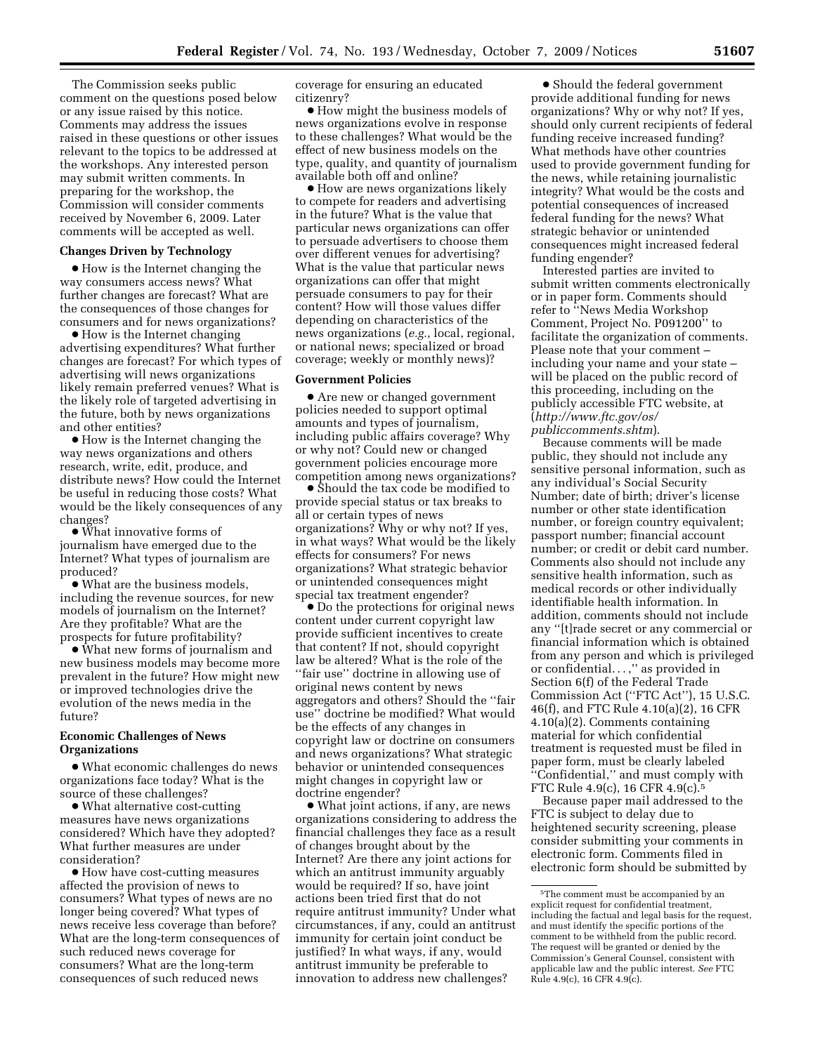The Commission seeks public comment on the questions posed below or any issue raised by this notice. Comments may address the issues raised in these questions or other issues relevant to the topics to be addressed at the workshops. Any interested person may submit written comments. In preparing for the workshop, the Commission will consider comments received by November 6, 2009. Later comments will be accepted as well.

#### **Changes Driven by Technology**

∑ How is the Internet changing the way consumers access news? What further changes are forecast? What are the consequences of those changes for consumers and for news organizations?

● How is the Internet changing advertising expenditures? What further changes are forecast? For which types of advertising will news organizations likely remain preferred venues? What is the likely role of targeted advertising in the future, both by news organizations and other entities?

∑ How is the Internet changing the way news organizations and others research, write, edit, produce, and distribute news? How could the Internet be useful in reducing those costs? What would be the likely consequences of any changes?

∑ What innovative forms of journalism have emerged due to the Internet? What types of journalism are produced?

∑ What are the business models, including the revenue sources, for new models of journalism on the Internet? Are they profitable? What are the prospects for future profitability?

∑ What new forms of journalism and new business models may become more prevalent in the future? How might new or improved technologies drive the evolution of the news media in the future?

# **Economic Challenges of News Organizations**

∑ What economic challenges do news organizations face today? What is the source of these challenges?

● What alternative cost-cutting measures have news organizations considered? Which have they adopted? What further measures are under consideration?

∑ How have cost-cutting measures affected the provision of news to consumers? What types of news are no longer being covered? What types of news receive less coverage than before? What are the long-term consequences of such reduced news coverage for consumers? What are the long-term consequences of such reduced news

coverage for ensuring an educated citizenry?

∑ How might the business models of news organizations evolve in response to these challenges? What would be the effect of new business models on the type, quality, and quantity of journalism available both off and online?

● How are news organizations likely to compete for readers and advertising in the future? What is the value that particular news organizations can offer to persuade advertisers to choose them over different venues for advertising? What is the value that particular news organizations can offer that might persuade consumers to pay for their content? How will those values differ depending on characteristics of the news organizations (*e.g.*, local, regional, or national news; specialized or broad coverage; weekly or monthly news)?

### **Government Policies**

∑ Are new or changed government policies needed to support optimal amounts and types of journalism, including public affairs coverage? Why or why not? Could new or changed government policies encourage more competition among news organizations?

∑ Should the tax code be modified to provide special status or tax breaks to all or certain types of news organizations? Why or why not? If yes, in what ways? What would be the likely effects for consumers? For news organizations? What strategic behavior or unintended consequences might special tax treatment engender?

∑ Do the protections for original news content under current copyright law provide sufficient incentives to create that content? If not, should copyright law be altered? What is the role of the ''fair use'' doctrine in allowing use of original news content by news aggregators and others? Should the ''fair use'' doctrine be modified? What would be the effects of any changes in copyright law or doctrine on consumers and news organizations? What strategic behavior or unintended consequences might changes in copyright law or doctrine engender?

∑ What joint actions, if any, are news organizations considering to address the financial challenges they face as a result of changes brought about by the Internet? Are there any joint actions for which an antitrust immunity arguably would be required? If so, have joint actions been tried first that do not require antitrust immunity? Under what circumstances, if any, could an antitrust immunity for certain joint conduct be justified? In what ways, if any, would antitrust immunity be preferable to innovation to address new challenges?

● Should the federal government provide additional funding for news organizations? Why or why not? If yes, should only current recipients of federal funding receive increased funding? What methods have other countries used to provide government funding for the news, while retaining journalistic integrity? What would be the costs and potential consequences of increased federal funding for the news? What strategic behavior or unintended consequences might increased federal funding engender?

Interested parties are invited to submit written comments electronically or in paper form. Comments should refer to ''News Media Workshop Comment, Project No. P091200'' to facilitate the organization of comments. Please note that your comment – including your name and your state – will be placed on the public record of this proceeding, including on the publicly accessible FTC website, at (*http://www.ftc.gov/os/ publiccomments.shtm*).

Because comments will be made public, they should not include any sensitive personal information, such as any individual's Social Security Number; date of birth; driver's license number or other state identification number, or foreign country equivalent; passport number; financial account number; or credit or debit card number. Comments also should not include any sensitive health information, such as medical records or other individually identifiable health information. In addition, comments should not include any ''[t]rade secret or any commercial or financial information which is obtained from any person and which is privileged or confidential. . . ,'' as provided in Section 6(f) of the Federal Trade Commission Act (''FTC Act''), 15 U.S.C. 46(f), and FTC Rule 4.10(a)(2), 16 CFR 4.10(a)(2). Comments containing material for which confidential treatment is requested must be filed in paper form, must be clearly labeled ''Confidential,'' and must comply with FTC Rule 4.9(c), 16 CFR 4.9(c).5

Because paper mail addressed to the FTC is subject to delay due to heightened security screening, please consider submitting your comments in electronic form. Comments filed in electronic form should be submitted by

<sup>5</sup>The comment must be accompanied by an explicit request for confidential treatment, including the factual and legal basis for the request, and must identify the specific portions of the comment to be withheld from the public record. The request will be granted or denied by the Commission's General Counsel, consistent with applicable law and the public interest. *See* FTC Rule 4.9(c), 16 CFR 4.9(c).